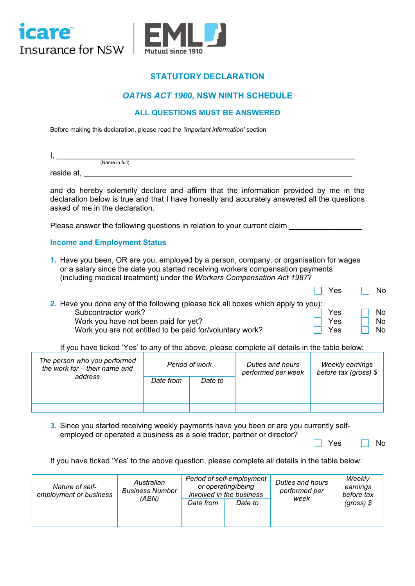



# **STATUTORY DECLARATION**

### *OATHS ACT 1900***, NSW NINTH SCHEDULE**

### **ALL QUESTIONS MUST BE ANSWERED**

Before making this declaration, please read the *'important information'* section

| . .        |                |  |  |  |
|------------|----------------|--|--|--|
|            | (Name in full) |  |  |  |
| reside at, |                |  |  |  |

and do hereby solemnly declare and affirm that the information provided by me in the declaration below is true and that I have honestly and accurately answered all the questions asked of me in the declaration.

Please answer the following questions in relation to your current claim \_\_\_\_\_\_\_\_

#### **Income and Employment Status**

**1.** Have you been, OR are you, employed by a person, company, or organisation for wages or a salary since the date you started receiving workers compensation payments (including medical treatment) under the *Workers Compensation Act 1987*?

|                                                                                   | <b>Yes</b> | <b>No</b>      |
|-----------------------------------------------------------------------------------|------------|----------------|
| 2. Have you done any of the following (please tick all boxes which apply to you): |            |                |
| Subcontractor work?                                                               | Yes        | N <sub>0</sub> |
| Work you have not been paid for yet?                                              | Yes.       | N <sub>0</sub> |
| Work you are not entitled to be paid for/voluntary work?                          | Yes        | No.            |

If you have ticked 'Yes' to any of the above, please complete all details in the table below:

| The person who you performed<br>the work for - their name and | Period of work |         | Duties and hours<br>performed per week | Weekly earnings<br>before tax (gross) \$ |  |
|---------------------------------------------------------------|----------------|---------|----------------------------------------|------------------------------------------|--|
| address                                                       | Date from      | Date to |                                        |                                          |  |
|                                                               |                |         |                                        |                                          |  |
|                                                               |                |         |                                        |                                          |  |
|                                                               |                |         |                                        |                                          |  |

**3.** Since you started receiving weekly payments have you been or are you currently selfemployed or operated a business as a sole trader, partner or director?

 $Yes \t N$ 

If you have ticked 'Yes' to the above question, please complete all details in the table below:

| Nature of self-<br>employment or business | Australian<br><b>Business Number</b><br>(ABN) |           | Period of self-employment<br>or operating/being<br>involved in the business | Duties and hours<br>performed per<br>week | Weekly<br>earnings<br>before tax |
|-------------------------------------------|-----------------------------------------------|-----------|-----------------------------------------------------------------------------|-------------------------------------------|----------------------------------|
|                                           |                                               | Date from | Date to                                                                     |                                           | (gross) $$$                      |
|                                           |                                               |           |                                                                             |                                           |                                  |
|                                           |                                               |           |                                                                             |                                           |                                  |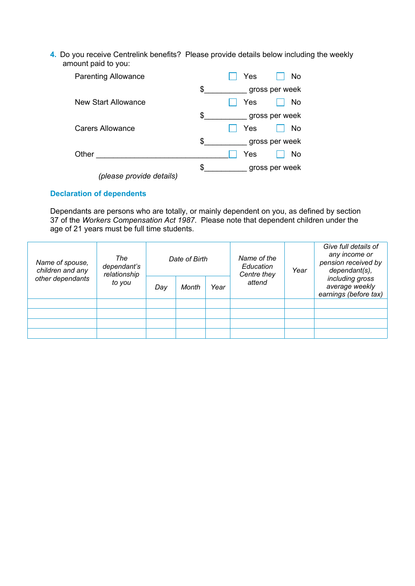**4.** Do you receive Centrelink benefits? Please provide details below including the weekly amount paid to you:

| <b>Parenting Allowance</b> | Yes<br>No.           |
|----------------------------|----------------------|
|                            | \$<br>gross per week |
| New Start Allowance        | Yes<br>No            |
|                            | \$<br>gross per week |
| <b>Carers Allowance</b>    | Yes<br><b>No</b>     |
|                            | \$<br>gross per week |
| Other                      | Yes<br>No            |
|                            | \$<br>gross per week |
| (please provide details)   |                      |

#### **Declaration of dependents**

Dependants are persons who are totally, or mainly dependent on you, as defined by section 37 of the *Workers Compensation Act 1987*. Please note that dependent children under the age of 21 years must be full time students.

| Name of spouse,<br>children and any<br>other dependants | The<br>dependant's<br>relationship<br>to you | Date of Birth |       |      | Name of the<br>Education<br>Centre they | Year | Give full details of<br>any income or<br>pension received by<br>dependant(s), |
|---------------------------------------------------------|----------------------------------------------|---------------|-------|------|-----------------------------------------|------|-------------------------------------------------------------------------------|
|                                                         |                                              | Day           | Month | Year | attend                                  |      | including gross<br>average weekly<br>earnings (before tax)                    |
|                                                         |                                              |               |       |      |                                         |      |                                                                               |
|                                                         |                                              |               |       |      |                                         |      |                                                                               |
|                                                         |                                              |               |       |      |                                         |      |                                                                               |
|                                                         |                                              |               |       |      |                                         |      |                                                                               |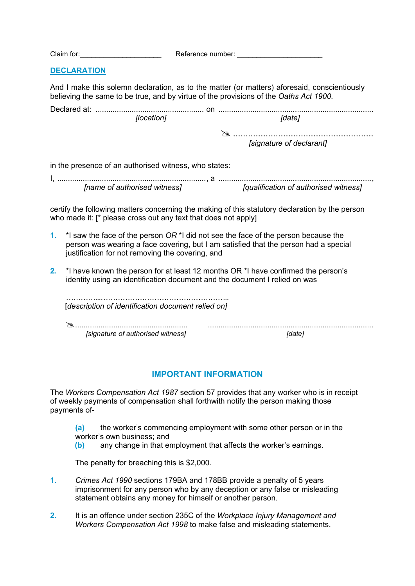| Claim for:         | Reference number:                                                                                                                                                                     |  |
|--------------------|---------------------------------------------------------------------------------------------------------------------------------------------------------------------------------------|--|
| <b>DECLARATION</b> |                                                                                                                                                                                       |  |
|                    | And I make this solemn declaration, as to the matter (or matters) aforesaid, conscientiously<br>believing the same to be true, and by virtue of the provisions of the Oaths Act 1900. |  |

| <i>[location]</i> | nate.                    |  |
|-------------------|--------------------------|--|
|                   |                          |  |
|                   | [signature of declarant] |  |

in the presence of an authorised witness, who states:

| [name of authorised witness] | [qualification of authorised witness] |
|------------------------------|---------------------------------------|

certify the following matters concerning the making of this statutory declaration by the person who made it: [\* please cross out any text that does not apply]

- **1.** \*I saw the face of the person *OR* \*I did not see the face of the person because the person was wearing a face covering, but I am satisfied that the person had a special justification for not removing the covering, and
- **2.** \*I have known the person for at least 12 months OR \*I have confirmed the person's identity using an identification document and the document I relied on was

| [description of identification document relied on] |       |
|----------------------------------------------------|-------|
|                                                    |       |
|                                                    |       |
| [signature of authorised witness]                  | date. |

## **IMPORTANT INFORMATION**

The *Workers Compensation Act 1987* section 57 provides that any worker who is in receipt of weekly payments of compensation shall forthwith notify the person making those payments of-

- **(a)** the worker's commencing employment with some other person or in the worker's own business; and
- **(b)** any change in that employment that affects the worker's earnings.

The penalty for breaching this is \$2,000.

- **1.** *Crimes Act 1990* sections 179BA and 178BB provide a penalty of 5 years imprisonment for any person who by any deception or any false or misleading statement obtains any money for himself or another person.
- **2.** It is an offence under section 235C of the *Workplace Injury Management and Workers Compensation Act 1998* to make false and misleading statements.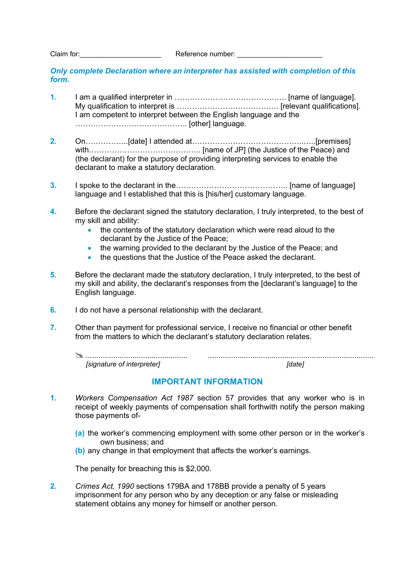Claim for:\_\_\_\_\_\_\_\_\_\_\_\_\_\_\_\_\_\_\_\_\_ Reference number: \_\_\_\_\_\_\_\_\_\_\_\_\_\_\_\_\_\_\_\_\_\_

*Only complete Declaration where an interpreter has assisted with completion of this form.*

- **1.** I am a qualified interpreter in …………………………………….. [name of language]. My qualification to interpret is …………………………………. [relevant qualifications]. I am competent to interpret between the English language and the …………………………………….. [other] language.
- **2.** On……………..[date] I attended at……………………………………..…..[premises] with………………………………………………………… [name of JP] (the Justice of the Peace) and (the declarant) for the purpose of providing interpreting services to enable the declarant to make a statutory declaration.
- **3.** I spoke to the declarant in the…………………………………….. [name of language] language and I established that this is [his/her] customary language.
- **4.** Before the declarant signed the statutory declaration, I truly interpreted, to the best of my skill and ability:
	- the contents of the statutory declaration which were read aloud to the declarant by the Justice of the Peace;
	- the warning provided to the declarant by the Justice of the Peace; and
	- the questions that the Justice of the Peace asked the declarant.
- **5.** Before the declarant made the statutory declaration, I truly interpreted, to the best of my skill and ability, the declarant's responses from the [declarant's language] to the English language.
- **6.** I do not have a personal relationship with the declarant.
- **7.** Other than payment for professional service, I receive no financial or other benefit from the matters to which the declarant's statutory declaration relates.
	- ................................................ .............................................................................. *[signature of interpreter] [date]*

#### **IMPORTANT INFORMATION**

- **1.** *Workers Compensation Act 1987* section 57 provides that any worker who is in receipt of weekly payments of compensation shall forthwith notify the person making those payments of-
	- **(a)** the worker's commencing employment with some other person or in the worker's own business; and
	- **(b)** any change in that employment that affects the worker's earnings.

The penalty for breaching this is \$2,000.

**2.** *Crimes Act, 1990* sections 179BA and 178BB provide a penalty of 5 years imprisonment for any person who by any deception or any false or misleading statement obtains any money for himself or another person.